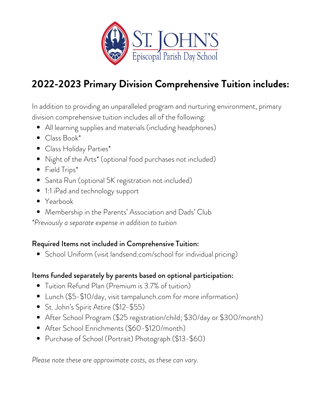

# **2022-2023 Primary Division Comprehensive Tuition includes:**

In addition to providing an unparalleled program and nurturing environment, primary division comprehensive tuition includes all of the following:

- All learning supplies and materials (including headphones)
- Class Book\*
- Class Holiday Parties\*
- Night of the Arts\* (optional food purchases not included)
- Field Trips\*
- Santa Run (optional 5K registration not included)
- 1:1 iPad and technology support
- Yearbook
- Membership in the Parents' Association and Dads' Club

*\*Previously a separate expense in addition to tuition*

## Required Items not included in Comprehensive Tuition:

School Uniform (visit landsend.com/school for individual pricing)

## Items funded separately by parents based on optional participation:

- Tuition Refund Plan (Premium is 3.7% of tuition)
- Lunch (\$5-\$10/day, visit [tampalunch.com](http://tampalunch.com/) for more information)
- St. John's Spirit Attire (\$12-\$55)
- After School Program (\$25 registration/child; \$30/day or \$300/month)
- After School Enrichments (\$60-\$120/month)
- Purchase of School (Portrait) Photograph (\$13-\$60)

*Please note these are approximate costs, as these can vary.*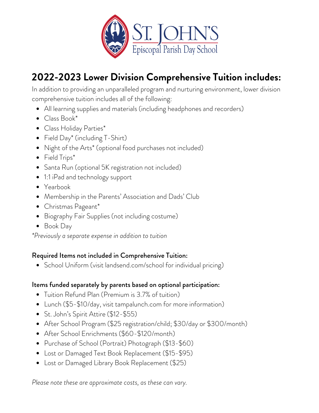

# **2022-2023 Lower Division Comprehensive Tuition includes:**

In addition to providing an unparalleled program and nurturing environment, lower division comprehensive tuition includes all of the following:

- All learning supplies and materials (including headphones and recorders)
- Class Book\*
- Class Holiday Parties\*
- Field Day<sup>\*</sup> (including T-Shirt)
- Night of the Arts\* (optional food purchases not included)
- Field Trips\*
- Santa Run (optional 5K registration not included)
- 1:1 iPad and technology support
- Yearbook
- Membership in the Parents' Association and Dads' Club
- Christmas Pageant\*
- Biography Fair Supplies (not including costume)
- Book Day

*\*Previously a separate expense in addition to tuition*

### Required Items not included in Comprehensive Tuition:

• School Uniform (visit landsend.com/school for individual pricing)

### Items funded separately by parents based on optional participation:

- Tuition Refund Plan (Premium is 3.7% of tuition)
- Lunch (\$5-\$10/day, visit [tampalunch.com](http://tampalunch.com/) for more information)
- St. John's Spirit Attire (\$12-\$55)
- After School Program (\$25 registration/child; \$30/day or \$300/month)
- After School Enrichments (\$60-\$120/month)
- Purchase of School (Portrait) Photograph (\$13-\$60)
- Lost or Damaged Text Book Replacement (\$15-\$95)
- Lost or Damaged Library Book Replacement (\$25)

*Please note these are approximate costs, as these can vary.*